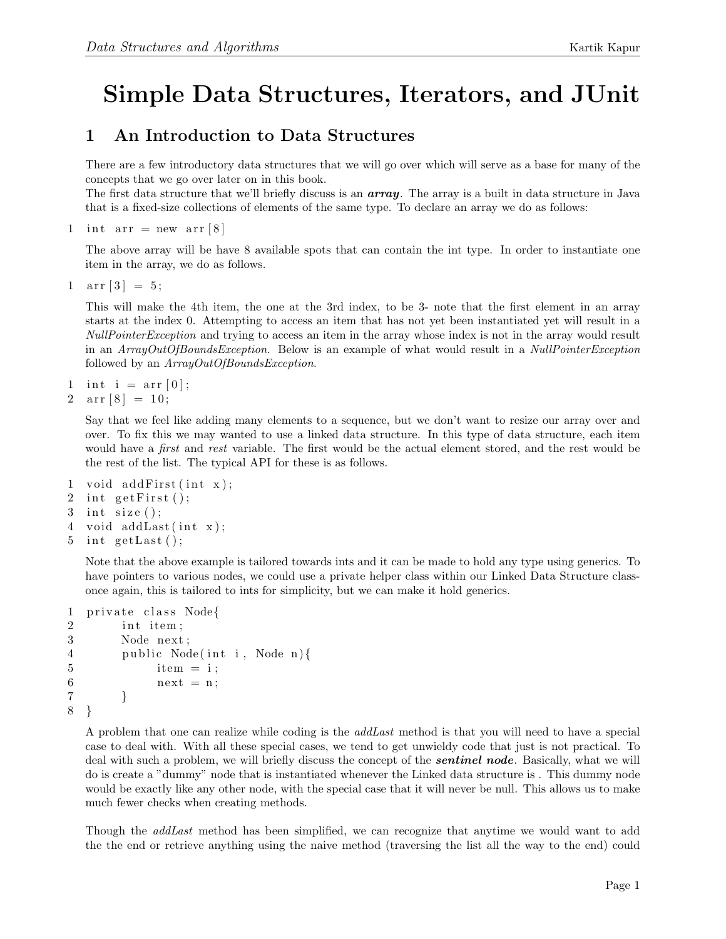## Simple Data Structures, Iterators, and JUnit

## 1 An Introduction to Data Structures

There are a few introductory data structures that we will go over which will serve as a base for many of the concepts that we go over later on in this book.

The first data structure that we'll briefly discuss is an  $array$ . The array is a built in data structure in Java that is a fixed-size collections of elements of the same type. To declare an array we do as follows:

1 int arr = new arr  $8$ 

The above array will be have 8 available spots that can contain the int type. In order to instantiate one item in the array, we do as follows.

1  $\ar{r}$  [3] = 5;

This will make the 4th item, the one at the 3rd index, to be 3- note that the first element in an array starts at the index 0. Attempting to access an item that has not yet been instantiated yet will result in a NullPointerException and trying to access an item in the array whose index is not in the array would result in an ArrayOutOfBoundsException. Below is an example of what would result in a NullPointerException followed by an  $ArrayOutOfBoundsException$ .

```
1 int i = \arfc{r} [0];
```
2  $\ar{array}[8] = 10;$ 

Say that we feel like adding many elements to a sequence, but we don't want to resize our array over and over. To fix this we may wanted to use a linked data structure. In this type of data structure, each item would have a *first* and *rest* variable. The first would be the actual element stored, and the rest would be the rest of the list. The typical API for these is as follows.

```
1 void add\text{First}(\text{int } x);2 int getFirst();
3 int size ();
4 void addLast(int x);
```

```
5 int getLast();
```
Note that the above example is tailored towards ints and it can be made to hold any type using generics. To have pointers to various nodes, we could use a private helper class within our Linked Data Structure classonce again, this is tailored to ints for simplicity, but we can make it hold generics.

```
1 private class Node{
2 int item;
3 Node next;
4 public Node(int i, Node n){
5 item = i;
6 \quad \text{next} = \text{n};
7 }
8 }
```
A problem that one can realize while coding is the addLast method is that you will need to have a special case to deal with. With all these special cases, we tend to get unwieldy code that just is not practical. To deal with such a problem, we will briefly discuss the concept of the *sentinel node*. Basically, what we will do is create a "dummy" node that is instantiated whenever the Linked data structure is . This dummy node would be exactly like any other node, with the special case that it will never be null. This allows us to make much fewer checks when creating methods.

Though the *addLast* method has been simplified, we can recognize that anytime we would want to add the the end or retrieve anything using the naive method (traversing the list all the way to the end) could